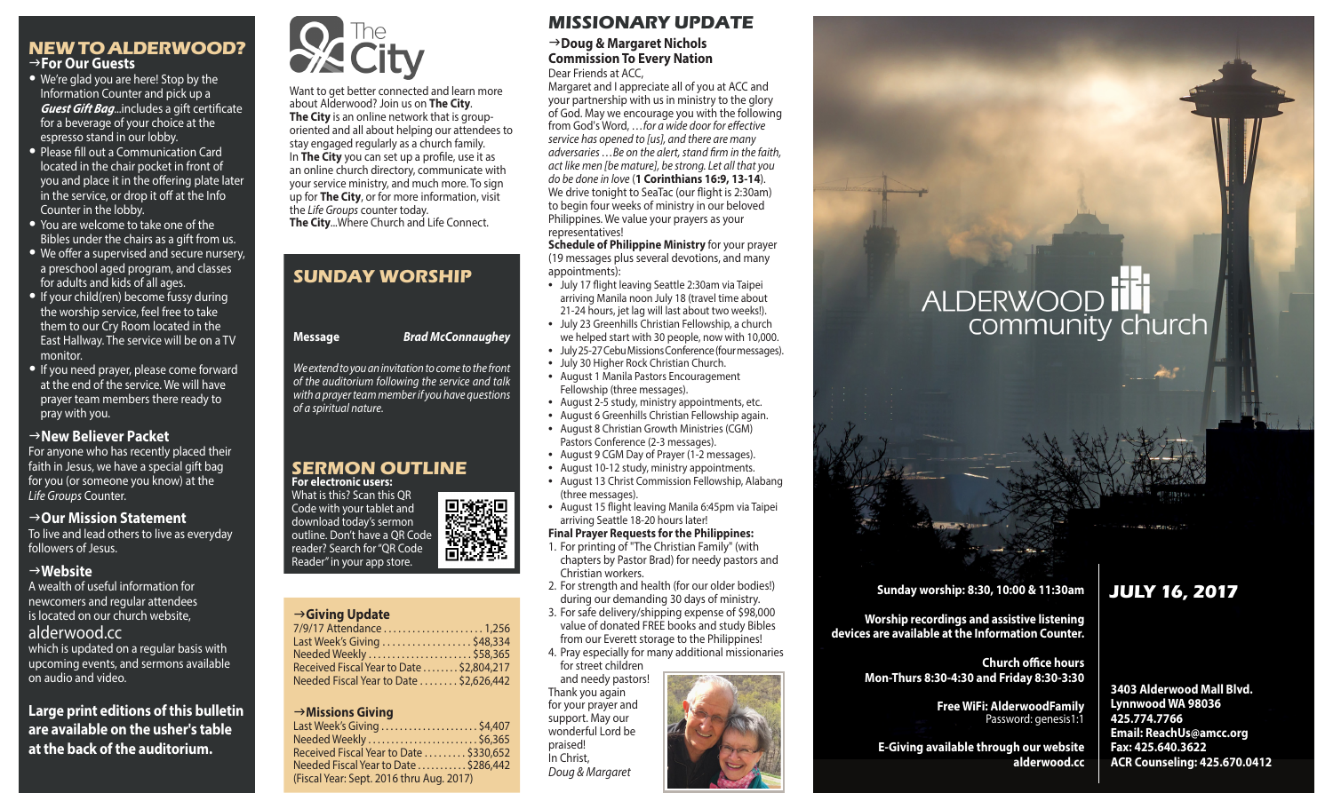# **NEW TO ALDERWOOD?** g**For Our Guests**

- We're glad you are here! Stop by the Information Counter and pick up a *Guest Gift Bag*...includes a gift certificate for a beverage of your choice at the espresso stand in our lobby.
- Please fill out a Communication Card located in the chair pocket in front of you and place it in the offering plate later in the service, or drop it off at the Info Counter in the lobby.
- You are welcome to take one of the Bibles under the chairs as a gift from us.
- We offer a supervised and secure nursery, a preschool aged program, and classes for adults and kids of all ages.
- If your child(ren) become fussy during the worship service, feel free to take them to our Cry Room located in the East Hallway. The service will be on a TV monitor.
- If you need prayer, please come forward at the end of the service. We will have prayer team members there ready to pray with you.

# g**New Believer Packet**

For anyone who has recently placed their faith in Jesus, we have a special gift bag for you (or someone you know) at the *Life Groups* Counter.

### →Our Mission Statement

To live and lead others to live as everyday followers of Jesus.

## g**Website**

A wealth of useful information for newcomers and regular attendees is located on our church website, alderwood.cc which is updated on a regular basis with

upcoming events, and sermons available on audio and video.

**Large print editions of this bulletin are available on the usher's table at the back of the auditorium.**



Want to get better connected and learn more about Alderwood? Join us on **The City**. **The City** is an online network that is grouporiented and all about helping our attendees to stay engaged regularly as a church family. In **The City** you can set up a profile, use it as an online church directory, communicate with your service ministry, and much more. To sign up for **The City**, or for more information, visit the *Life Groups* counter today. **The City**...Where Church and Life Connect.

# **SUNDAY WORSHIP**

**Message** *Brad McConnaughey*

*Weextend to you an invitation to come to the front of the auditorium following the service and talk with a prayer team member if you have questions of a spiritual nature.*

#### **SERMON OUTLINE For electronic users:**

What is this? Scan this QR Code with your tablet and download today's sermon outline. Don't have a QR Code reader? Search for "QR Code Reader" in your app store.

#### g**Giving Update** 7/9/17 Attendance . . . . . . . . . . . . . . . . . . . . . 1,256

| Last Week's Giving \$48,334               |  |
|-------------------------------------------|--|
| Needed Weekly \$58,365                    |  |
| Received Fiscal Year to Date  \$2,804,217 |  |
| Needed Fiscal Year to Date  \$2,626,442   |  |
|                                           |  |

### g**Missions Giving**

| Needed Weekly \$6,365                    |  |  |
|------------------------------------------|--|--|
| Received Fiscal Year to Date  \$330,652  |  |  |
| Needed Fiscal Year to Date  \$286,442    |  |  |
| (Fiscal Year: Sept. 2016 thru Aug. 2017) |  |  |
|                                          |  |  |

# **MISSIONARY UPDATE**

#### g**Doug & Margaret Nichols Commission To Every Nation** Dear Friends at ACC,

Margaret and I appreciate all of you at ACC and your partnership with us in ministry to the glory of God. May we encourage you with the following from God's Word, *…for a wide door for effective service has opened to [us], and there are many adversaries …Be on the alert, stand firm in the faith, act like men [be mature], be strong. Let all that you do be done in love* (**1 Corinthians 16:9, 13-14**). We drive tonight to SeaTac (our flight is 2:30am) to begin four weeks of ministry in our beloved Philippines. We value your prayers as your representatives!

**Schedule of Philippine Ministry** for your prayer (19 messages plus several devotions, and many appointments):

- **•** July 17 flight leaving Seattle 2:30am via Taipei arriving Manila noon July 18 (travel time about 21-24 hours, jet lag will last about two weeks!).
- **•** July 23 Greenhills Christian Fellowship, a church we helped start with 30 people, now with 10,000.
- **•** July 25-27 Cebu Missions Conference (four messages).
- **•** July 30 Higher Rock Christian Church.
- **•** August 1 Manila Pastors Encouragement Fellowship (three messages).
- **•** August 2-5 study, ministry appointments, etc.
- **•** August 6 Greenhills Christian Fellowship again. **•** August 8 Christian Growth Ministries (CGM) Pastors Conference (2-3 messages).
- **•** August 9 CGM Day of Prayer (1-2 messages).
- **•** August 10-12 study, ministry appointments.
- 
- **•** August 13 Christ Commission Fellowship, Alabang (three messages).
- **•** August 15 flight leaving Manila 6:45pm via Taipei arriving Seattle 18-20 hours later!

### **Final Prayer Requests for the Philippines:**

- 1. For printing of "The Christian Family" (with chapters by Pastor Brad) for needy pastors and Christian workers.
- 2. For strength and health (for our older bodies!) during our demanding 30 days of ministry.
- 3. For safe delivery/shipping expense of \$98,000 value of donated FREE books and study Bibles from our Everett storage to the Philippines!
- 4. Pray especially for many additional missionaries for street children

and needy pastors! Thank you again for your prayer and support. May our wonderful Lord be praised! In Christ, *Doug & Margaret*



# **ALDERWOOD** community church

# **Sunday worship: 8:30, 10:00 & 11:30am**

**Worship recordings and assistive listening devices are available at the Information Counter.**

> **Church office hours Mon-Thurs 8:30-4:30 and Friday 8:30-3:30**

> > **Free WiFi: AlderwoodFamily**  Password: genesis1:1

**E-Giving available through our website alderwood.cc** 

# **JULY 16, 2017**

**3403 Alderwood Mall Blvd. Lynnwood WA 98036 425.774.7766 Email: ReachUs@amcc.org Fax: 425.640.3622 ACR Counseling: 425.670.0412**